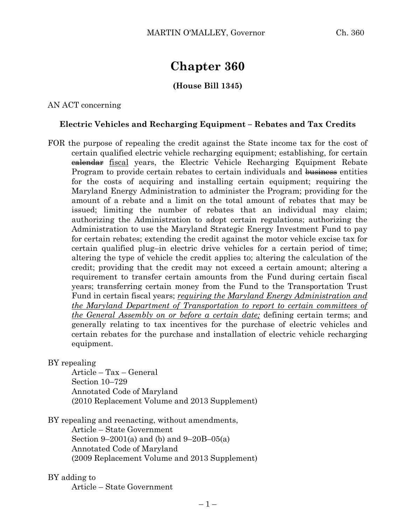# **Chapter 360**

# **(House Bill 1345)**

AN ACT concerning

# **Electric Vehicles and Recharging Equipment – Rebates and Tax Credits**

FOR the purpose of repealing the credit against the State income tax for the cost of certain qualified electric vehicle recharging equipment; establishing, for certain **ealendar** fiscal years, the Electric Vehicle Recharging Equipment Rebate Program to provide certain rebates to certain individuals and business entities for the costs of acquiring and installing certain equipment; requiring the Maryland Energy Administration to administer the Program; providing for the amount of a rebate and a limit on the total amount of rebates that may be issued; limiting the number of rebates that an individual may claim; authorizing the Administration to adopt certain regulations; authorizing the Administration to use the Maryland Strategic Energy Investment Fund to pay for certain rebates; extending the credit against the motor vehicle excise tax for certain qualified plug–in electric drive vehicles for a certain period of time; altering the type of vehicle the credit applies to; altering the calculation of the credit; providing that the credit may not exceed a certain amount; altering a requirement to transfer certain amounts from the Fund during certain fiscal years; transferring certain money from the Fund to the Transportation Trust Fund in certain fiscal years; *requiring the Maryland Energy Administration and the Maryland Department of Transportation to report to certain committees of the General Assembly on or before a certain date;* defining certain terms; and generally relating to tax incentives for the purchase of electric vehicles and certain rebates for the purchase and installation of electric vehicle recharging equipment.

BY repealing

Article – Tax – General Section 10–729 Annotated Code of Maryland (2010 Replacement Volume and 2013 Supplement)

BY repealing and reenacting, without amendments,

Article – State Government Section 9–2001(a) and (b) and 9–20B–05(a) Annotated Code of Maryland (2009 Replacement Volume and 2013 Supplement)

## BY adding to

Article – State Government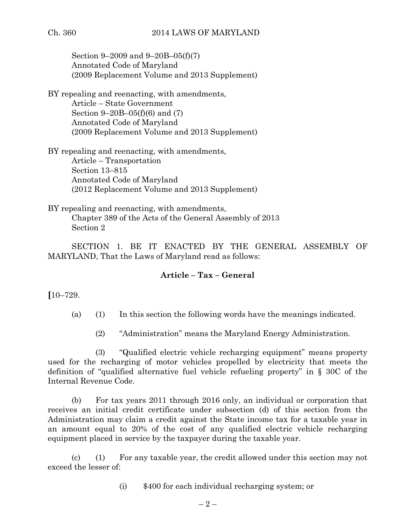Section 9–2009 and 9–20B–05(f)(7) Annotated Code of Maryland (2009 Replacement Volume and 2013 Supplement)

BY repealing and reenacting, with amendments, Article – State Government Section 9–20B–05(f)(6) and (7) Annotated Code of Maryland (2009 Replacement Volume and 2013 Supplement)

BY repealing and reenacting, with amendments, Article – Transportation Section 13–815 Annotated Code of Maryland (2012 Replacement Volume and 2013 Supplement)

BY repealing and reenacting, with amendments, Chapter 389 of the Acts of the General Assembly of 2013 Section 2

SECTION 1. BE IT ENACTED BY THE GENERAL ASSEMBLY OF MARYLAND, That the Laws of Maryland read as follows:

# **Article – Tax – General**

**[**10–729.

(a) (1) In this section the following words have the meanings indicated.

(2) "Administration" means the Maryland Energy Administration.

(3) "Qualified electric vehicle recharging equipment" means property used for the recharging of motor vehicles propelled by electricity that meets the definition of "qualified alternative fuel vehicle refueling property" in § 30C of the Internal Revenue Code.

(b) For tax years 2011 through 2016 only, an individual or corporation that receives an initial credit certificate under subsection (d) of this section from the Administration may claim a credit against the State income tax for a taxable year in an amount equal to 20% of the cost of any qualified electric vehicle recharging equipment placed in service by the taxpayer during the taxable year.

(c) (1) For any taxable year, the credit allowed under this section may not exceed the lesser of:

(i) \$400 for each individual recharging system; or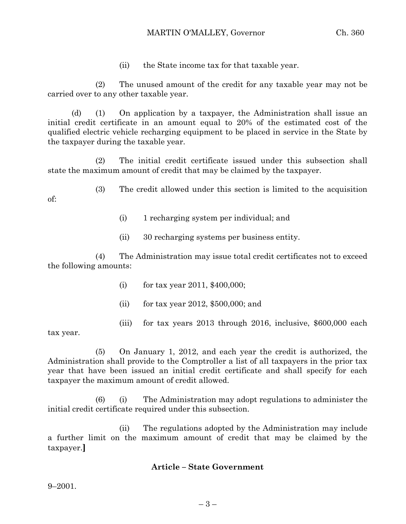## MARTIN O'MALLEY, Governor Ch. 360

(ii) the State income tax for that taxable year.

(2) The unused amount of the credit for any taxable year may not be carried over to any other taxable year.

(d) (1) On application by a taxpayer, the Administration shall issue an initial credit certificate in an amount equal to 20% of the estimated cost of the qualified electric vehicle recharging equipment to be placed in service in the State by the taxpayer during the taxable year.

(2) The initial credit certificate issued under this subsection shall state the maximum amount of credit that may be claimed by the taxpayer.

(3) The credit allowed under this section is limited to the acquisition of:

- (i) 1 recharging system per individual; and
- (ii) 30 recharging systems per business entity.

(4) The Administration may issue total credit certificates not to exceed the following amounts:

- (i) for tax year 2011, \$400,000;
- (ii) for tax year 2012, \$500,000; and
- (iii) for tax years 2013 through 2016, inclusive, \$600,000 each

tax year.

(5) On January 1, 2012, and each year the credit is authorized, the Administration shall provide to the Comptroller a list of all taxpayers in the prior tax year that have been issued an initial credit certificate and shall specify for each taxpayer the maximum amount of credit allowed.

(6) (i) The Administration may adopt regulations to administer the initial credit certificate required under this subsection.

(ii) The regulations adopted by the Administration may include a further limit on the maximum amount of credit that may be claimed by the taxpayer.**]**

## **Article – State Government**

9–2001.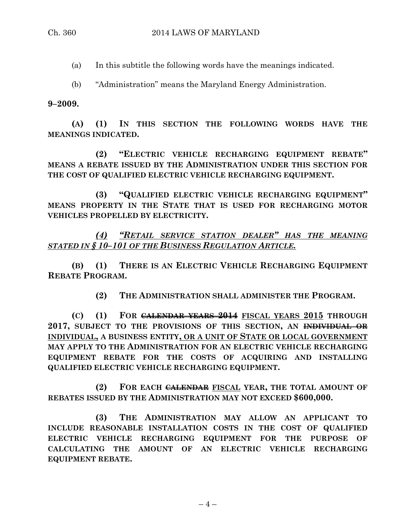(a) In this subtitle the following words have the meanings indicated.

(b) "Administration" means the Maryland Energy Administration.

#### **9–2009.**

**(A) (1) IN THIS SECTION THE FOLLOWING WORDS HAVE THE MEANINGS INDICATED.**

**(2) "ELECTRIC VEHICLE RECHARGING EQUIPMENT REBATE" MEANS A REBATE ISSUED BY THE ADMINISTRATION UNDER THIS SECTION FOR THE COST OF QUALIFIED ELECTRIC VEHICLE RECHARGING EQUIPMENT.**

**(3) "QUALIFIED ELECTRIC VEHICLE RECHARGING EQUIPMENT" MEANS PROPERTY IN THE STATE THAT IS USED FOR RECHARGING MOTOR VEHICLES PROPELLED BY ELECTRICITY.**

*(4) "RETAIL SERVICE STATION DEALER" HAS THE MEANING STATED IN § 10–101 OF THE BUSINESS REGULATION ARTICLE.*

**(B) (1) THERE IS AN ELECTRIC VEHICLE RECHARGING EQUIPMENT REBATE PROGRAM.**

**(2) THE ADMINISTRATION SHALL ADMINISTER THE PROGRAM.**

**(C) (1) FOR CALENDAR YEARS 2014 FISCAL YEARS 2015 THROUGH 2017, SUBJECT TO THE PROVISIONS OF THIS SECTION, AN INDIVIDUAL OR INDIVIDUAL, A BUSINESS ENTITY, OR A UNIT OF STATE OR LOCAL GOVERNMENT MAY APPLY TO THE ADMINISTRATION FOR AN ELECTRIC VEHICLE RECHARGING EQUIPMENT REBATE FOR THE COSTS OF ACQUIRING AND INSTALLING QUALIFIED ELECTRIC VEHICLE RECHARGING EQUIPMENT.**

**(2) FOR EACH CALENDAR FISCAL YEAR, THE TOTAL AMOUNT OF REBATES ISSUED BY THE ADMINISTRATION MAY NOT EXCEED \$600,000.**

**(3) THE ADMINISTRATION MAY ALLOW AN APPLICANT TO INCLUDE REASONABLE INSTALLATION COSTS IN THE COST OF QUALIFIED ELECTRIC VEHICLE RECHARGING EQUIPMENT FOR THE PURPOSE OF CALCULATING THE AMOUNT OF AN ELECTRIC VEHICLE RECHARGING EQUIPMENT REBATE.**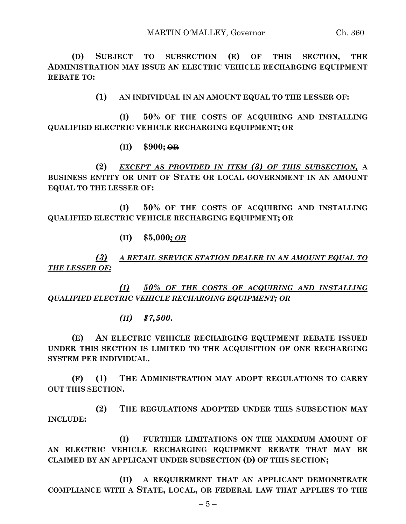**(D) SUBJECT TO SUBSECTION (E) OF THIS SECTION, THE ADMINISTRATION MAY ISSUE AN ELECTRIC VEHICLE RECHARGING EQUIPMENT REBATE TO:**

**(1) AN INDIVIDUAL IN AN AMOUNT EQUAL TO THE LESSER OF:**

**(I) 50% OF THE COSTS OF ACQUIRING AND INSTALLING QUALIFIED ELECTRIC VEHICLE RECHARGING EQUIPMENT; OR**

**(II) \$900; OR**

**(2)** *EXCEPT AS PROVIDED IN ITEM (3) OF THIS SUBSECTION,* **A BUSINESS ENTITY OR UNIT OF STATE OR LOCAL GOVERNMENT IN AN AMOUNT EQUAL TO THE LESSER OF:**

**(I) 50% OF THE COSTS OF ACQUIRING AND INSTALLING QUALIFIED ELECTRIC VEHICLE RECHARGING EQUIPMENT; OR**

**(II) \$5,000***; OR*

*(3) A RETAIL SERVICE STATION DEALER IN AN AMOUNT EQUAL TO THE LESSER OF:*

*(I) 50% OF THE COSTS OF ACQUIRING AND INSTALLING QUALIFIED ELECTRIC VEHICLE RECHARGING EQUIPMENT; OR*

*(II) \$7,500***.**

**(E) AN ELECTRIC VEHICLE RECHARGING EQUIPMENT REBATE ISSUED UNDER THIS SECTION IS LIMITED TO THE ACQUISITION OF ONE RECHARGING SYSTEM PER INDIVIDUAL.**

**(F) (1) THE ADMINISTRATION MAY ADOPT REGULATIONS TO CARRY OUT THIS SECTION.**

**(2) THE REGULATIONS ADOPTED UNDER THIS SUBSECTION MAY INCLUDE:**

**(I) FURTHER LIMITATIONS ON THE MAXIMUM AMOUNT OF AN ELECTRIC VEHICLE RECHARGING EQUIPMENT REBATE THAT MAY BE CLAIMED BY AN APPLICANT UNDER SUBSECTION (D) OF THIS SECTION;**

**(II) A REQUIREMENT THAT AN APPLICANT DEMONSTRATE COMPLIANCE WITH A STATE, LOCAL, OR FEDERAL LAW THAT APPLIES TO THE**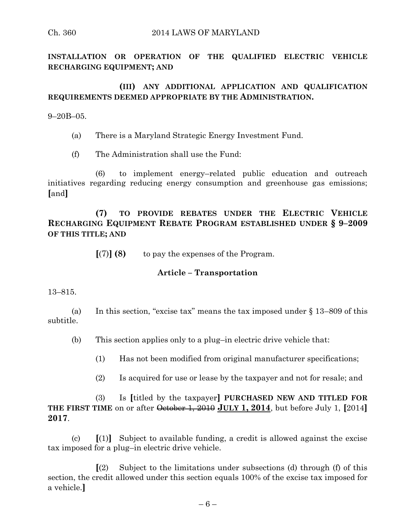**INSTALLATION OR OPERATION OF THE QUALIFIED ELECTRIC VEHICLE RECHARGING EQUIPMENT; AND**

# **(III) ANY ADDITIONAL APPLICATION AND QUALIFICATION REQUIREMENTS DEEMED APPROPRIATE BY THE ADMINISTRATION.**

9–20B–05.

- (a) There is a Maryland Strategic Energy Investment Fund.
- (f) The Administration shall use the Fund:

(6) to implement energy–related public education and outreach initiatives regarding reducing energy consumption and greenhouse gas emissions; **[**and**]**

**(7) TO PROVIDE REBATES UNDER THE ELECTRIC VEHICLE RECHARGING EQUIPMENT REBATE PROGRAM ESTABLISHED UNDER § 9–2009 OF THIS TITLE; AND**

**[**(7)**] (8)** to pay the expenses of the Program.

## **Article – Transportation**

13–815.

(a) In this section, "excise tax" means the tax imposed under § 13–809 of this subtitle.

(b) This section applies only to a plug–in electric drive vehicle that:

(1) Has not been modified from original manufacturer specifications;

(2) Is acquired for use or lease by the taxpayer and not for resale; and

(3) Is **[**titled by the taxpayer**] PURCHASED NEW AND TITLED FOR THE FIRST TIME** on or after October 1, 2010 **JULY 1, 2014**, but before July 1, **[**2014**] 2017**.

(c)  $\left[\begin{pmatrix}1\end{pmatrix}\right]$  Subject to available funding, a credit is allowed against the excise tax imposed for a plug–in electric drive vehicle.

**[**(2) Subject to the limitations under subsections (d) through (f) of this section, the credit allowed under this section equals 100% of the excise tax imposed for a vehicle.**]**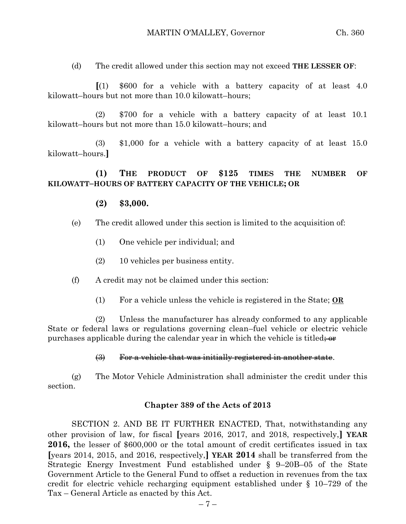(d) The credit allowed under this section may not exceed **THE LESSER OF**:

**[**(1) \$600 for a vehicle with a battery capacity of at least 4.0 kilowatt–hours but not more than 10.0 kilowatt–hours;

(2) \$700 for a vehicle with a battery capacity of at least 10.1 kilowatt–hours but not more than 15.0 kilowatt–hours; and

(3) \$1,000 for a vehicle with a battery capacity of at least 15.0 kilowatt–hours.**]**

# **(1) THE PRODUCT OF \$125 TIMES THE NUMBER OF KILOWATT–HOURS OF BATTERY CAPACITY OF THE VEHICLE; OR**

# **(2) \$3,000.**

- (e) The credit allowed under this section is limited to the acquisition of:
	- (1) One vehicle per individual; and
	- (2) 10 vehicles per business entity.
- (f) A credit may not be claimed under this section:
	- (1) For a vehicle unless the vehicle is registered in the State; **OR**

(2) Unless the manufacturer has already conformed to any applicable State or federal laws or regulations governing clean–fuel vehicle or electric vehicle purchases applicable during the calendar year in which the vehicle is titled;  $\Theta$ 

#### (3) For a vehicle that was initially registered in another state.

(g) The Motor Vehicle Administration shall administer the credit under this section.

#### **Chapter 389 of the Acts of 2013**

SECTION 2. AND BE IT FURTHER ENACTED, That, notwithstanding any other provision of law, for fiscal **[**years 2016, 2017, and 2018, respectively,**] YEAR 2016,** the lesser of \$600,000 or the total amount of credit certificates issued in tax **[**years 2014, 2015, and 2016, respectively,**] YEAR 2014** shall be transferred from the Strategic Energy Investment Fund established under § 9–20B–05 of the State Government Article to the General Fund to offset a reduction in revenues from the tax credit for electric vehicle recharging equipment established under § 10–729 of the Tax – General Article as enacted by this Act.